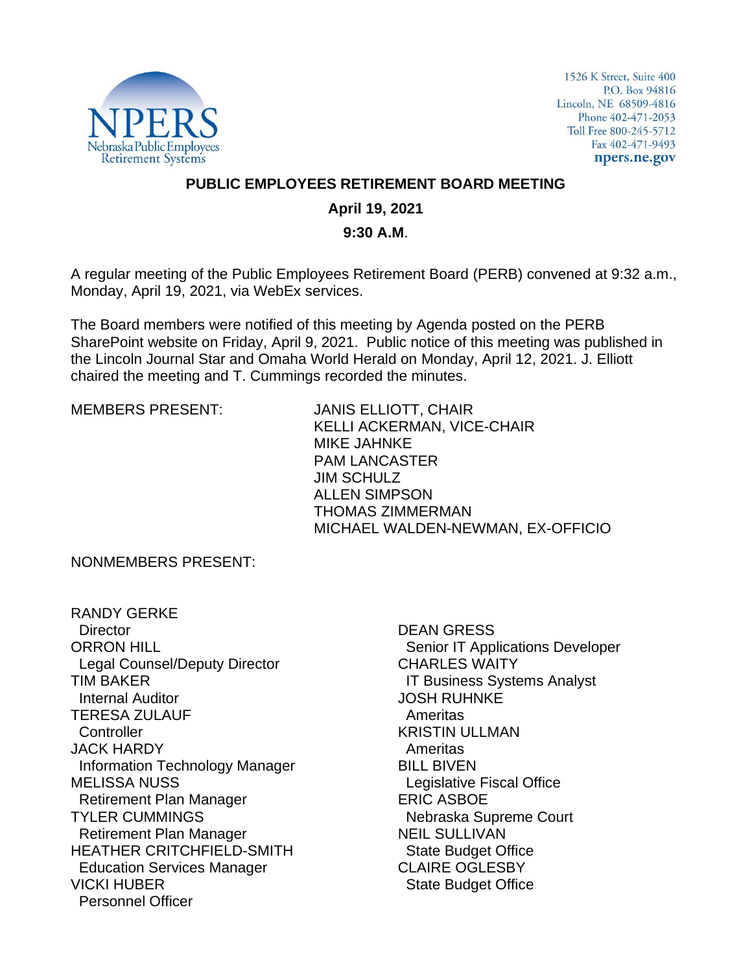

1526 K Street, Suite 400 P.O. Box 94816 Lincoln, NE 68509-4816 Phone 402-471-2053 Toll Free 800-245-5712 Fax 402-471-9493 npers.ne.gov

## **PUBLIC EMPLOYEES RETIREMENT BOARD MEETING**

## **April 19, 2021**

#### **9:30 A.M**.

A regular meeting of the Public Employees Retirement Board (PERB) convened at 9:32 a.m., Monday, April 19, 2021, via WebEx services.

The Board members were notified of this meeting by Agenda posted on the PERB SharePoint website on Friday, April 9, 2021. Public notice of this meeting was published in the Lincoln Journal Star and Omaha World Herald on Monday, April 12, 2021. J. Elliott chaired the meeting and T. Cummings recorded the minutes.

MEMBERS PRESENT: JANIS ELLIOTT, CHAIR KELLI ACKERMAN, VICE-CHAIR MIKE JAHNKE PAM LANCASTER JIM SCHULZ ALLEN SIMPSON THOMAS ZIMMERMAN MICHAEL WALDEN-NEWMAN, EX-OFFICIO

NONMEMBERS PRESENT:

RANDY GERKE **Director** ORRON HILL Legal Counsel/Deputy Director TIM BAKER Internal Auditor TERESA ZULAUF **Controller** JACK HARDY Information Technology Manager MELISSA NUSS Retirement Plan Manager TYLER CUMMINGS Retirement Plan Manager HEATHER CRITCHFIELD-SMITH Education Services Manager VICKI HUBER Personnel Officer

DEAN GRESS Senior IT Applications Developer CHARLES WAITY IT Business Systems Analyst JOSH RUHNKE Ameritas KRISTIN ULLMAN Ameritas BILL BIVEN Legislative Fiscal Office ERIC ASBOE Nebraska Supreme Court NEIL SULLIVAN State Budget Office CLAIRE OGLESBY State Budget Office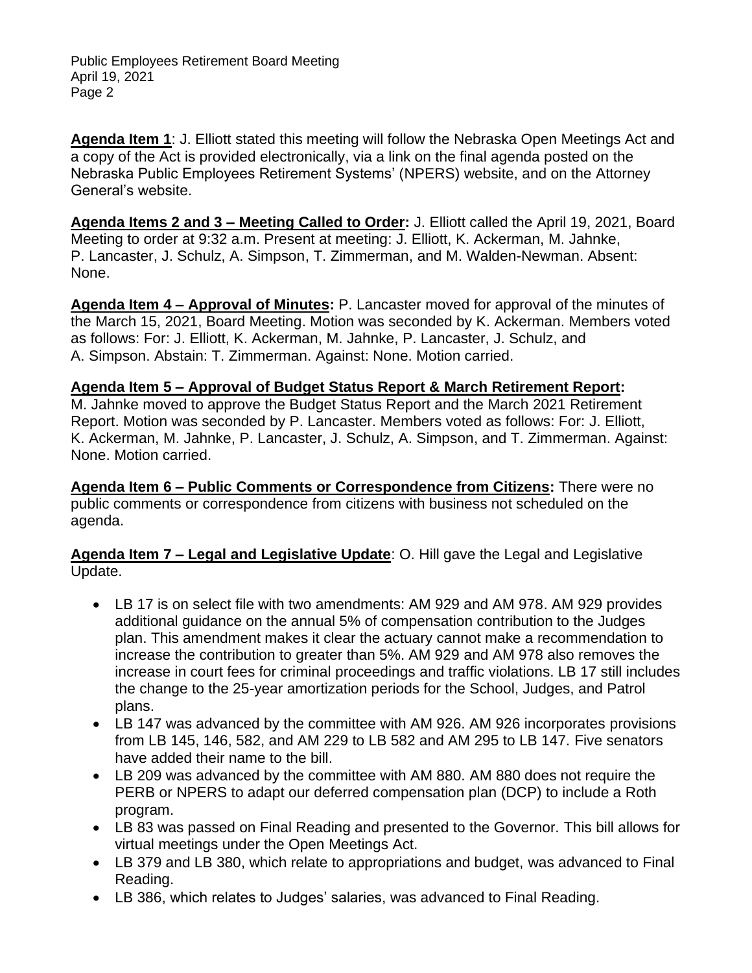Public Employees Retirement Board Meeting April 19, 2021 Page 2

**Agenda Item 1**: J. Elliott stated this meeting will follow the Nebraska Open Meetings Act and a copy of the Act is provided electronically, via a link on the final agenda posted on the Nebraska Public Employees Retirement Systems' (NPERS) website, and on the Attorney General's website.

**Agenda Items 2 and 3 – Meeting Called to Order:** J. Elliott called the April 19, 2021, Board Meeting to order at 9:32 a.m. Present at meeting: J. Elliott, K. Ackerman, M. Jahnke, P. Lancaster, J. Schulz, A. Simpson, T. Zimmerman, and M. Walden-Newman. Absent: None.

**Agenda Item 4 – Approval of Minutes:** P. Lancaster moved for approval of the minutes of the March 15, 2021, Board Meeting. Motion was seconded by K. Ackerman. Members voted as follows: For: J. Elliott, K. Ackerman, M. Jahnke, P. Lancaster, J. Schulz, and A. Simpson. Abstain: T. Zimmerman. Against: None. Motion carried.

**Agenda Item 5 – Approval of Budget Status Report & March Retirement Report:**  M. Jahnke moved to approve the Budget Status Report and the March 2021 Retirement Report. Motion was seconded by P. Lancaster. Members voted as follows: For: J. Elliott, K. Ackerman, M. Jahnke, P. Lancaster, J. Schulz, A. Simpson, and T. Zimmerman. Against: None. Motion carried.

**Agenda Item 6 – Public Comments or Correspondence from Citizens:** There were no public comments or correspondence from citizens with business not scheduled on the agenda.

**Agenda Item 7 – Legal and Legislative Update**: O. Hill gave the Legal and Legislative Update.

- LB 17 is on select file with two amendments: AM 929 and AM 978. AM 929 provides additional guidance on the annual 5% of compensation contribution to the Judges plan. This amendment makes it clear the actuary cannot make a recommendation to increase the contribution to greater than 5%. AM 929 and AM 978 also removes the increase in court fees for criminal proceedings and traffic violations. LB 17 still includes the change to the 25-year amortization periods for the School, Judges, and Patrol plans.
- LB 147 was advanced by the committee with AM 926. AM 926 incorporates provisions from LB 145, 146, 582, and AM 229 to LB 582 and AM 295 to LB 147. Five senators have added their name to the bill.
- LB 209 was advanced by the committee with AM 880. AM 880 does not require the PERB or NPERS to adapt our deferred compensation plan (DCP) to include a Roth program.
- LB 83 was passed on Final Reading and presented to the Governor. This bill allows for virtual meetings under the Open Meetings Act.
- LB 379 and LB 380, which relate to appropriations and budget, was advanced to Final Reading.
- LB 386, which relates to Judges' salaries, was advanced to Final Reading.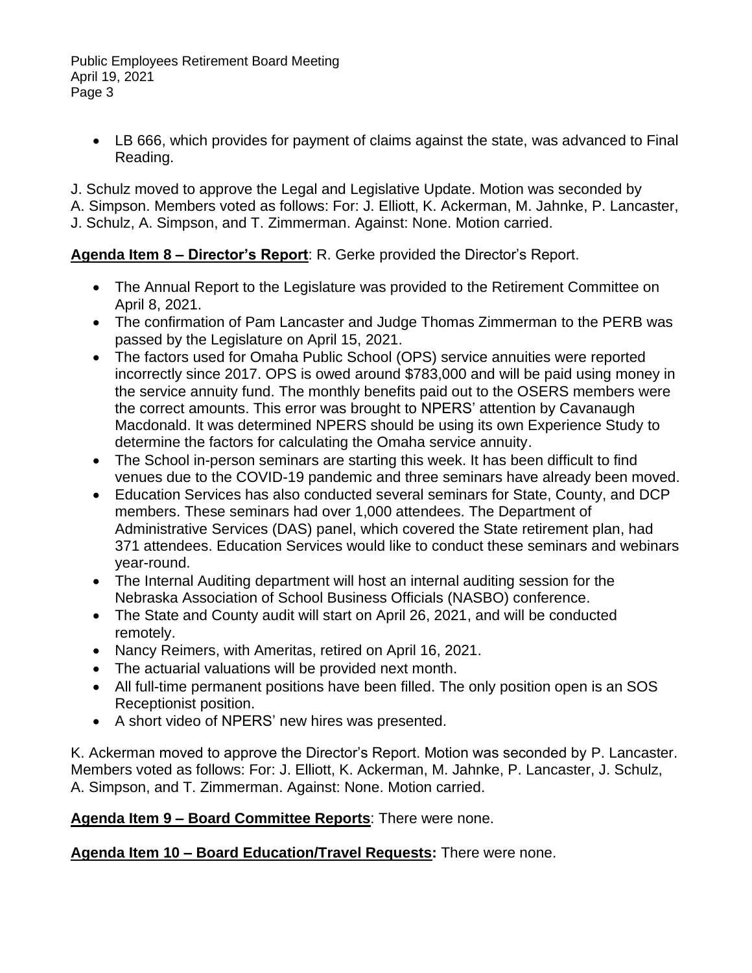Public Employees Retirement Board Meeting April 19, 2021 Page 3

• LB 666, which provides for payment of claims against the state, was advanced to Final Reading.

J. Schulz moved to approve the Legal and Legislative Update. Motion was seconded by A. Simpson. Members voted as follows: For: J. Elliott, K. Ackerman, M. Jahnke, P. Lancaster,

J. Schulz, A. Simpson, and T. Zimmerman. Against: None. Motion carried.

# **Agenda Item 8 – Director's Report**: R. Gerke provided the Director's Report.

- The Annual Report to the Legislature was provided to the Retirement Committee on April 8, 2021.
- The confirmation of Pam Lancaster and Judge Thomas Zimmerman to the PERB was passed by the Legislature on April 15, 2021.
- The factors used for Omaha Public School (OPS) service annuities were reported incorrectly since 2017. OPS is owed around \$783,000 and will be paid using money in the service annuity fund. The monthly benefits paid out to the OSERS members were the correct amounts. This error was brought to NPERS' attention by Cavanaugh Macdonald. It was determined NPERS should be using its own Experience Study to determine the factors for calculating the Omaha service annuity.
- The School in-person seminars are starting this week. It has been difficult to find venues due to the COVID-19 pandemic and three seminars have already been moved.
- Education Services has also conducted several seminars for State, County, and DCP members. These seminars had over 1,000 attendees. The Department of Administrative Services (DAS) panel, which covered the State retirement plan, had 371 attendees. Education Services would like to conduct these seminars and webinars year-round.
- The Internal Auditing department will host an internal auditing session for the Nebraska Association of School Business Officials (NASBO) conference.
- The State and County audit will start on April 26, 2021, and will be conducted remotely.
- Nancy Reimers, with Ameritas, retired on April 16, 2021.
- The actuarial valuations will be provided next month.
- All full-time permanent positions have been filled. The only position open is an SOS Receptionist position.
- A short video of NPERS' new hires was presented.

K. Ackerman moved to approve the Director's Report. Motion was seconded by P. Lancaster. Members voted as follows: For: J. Elliott, K. Ackerman, M. Jahnke, P. Lancaster, J. Schulz, A. Simpson, and T. Zimmerman. Against: None. Motion carried.

## **Agenda Item 9 – Board Committee Reports**: There were none.

**Agenda Item 10 – Board Education/Travel Requests:** There were none.